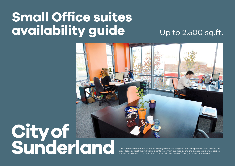## **Small Office suites availability guide**

Up to 2,500 sq.ft.



## City of<br>Sunderland

This summary is intended to act only as a guide to the range of industrial premises that exist in the city. Please contact the individual agents to confirm availability and the exact details of properties quoted. Sunderland City Council will not be held responsible for any errors or ommissions.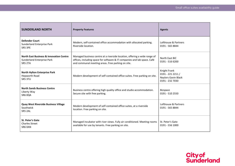| <b>SUNDERLAND NORTH</b>                                                                     | <b>Property Features</b>                                                                                                                                                                                   | <b>Agents</b>                                                                      |
|---------------------------------------------------------------------------------------------|------------------------------------------------------------------------------------------------------------------------------------------------------------------------------------------------------------|------------------------------------------------------------------------------------|
| <b>Defender Court</b><br><b>Sunderland Enterprise Park</b><br>SR5 3PE                       | Modern, self-contained office accommodation with allocated parking.<br>Riverside location.                                                                                                                 | Lofthouse & Partners<br>0191 - 565 8844                                            |
| <b>North East Business &amp; Innovation Centre</b><br>Sunderland Enterprise Park<br>SR5 2TA | Managed business centre at a riverside location, offering a wide range of<br>offices, including space for software & IT companies and lab space. Café<br>and communal meeting areas. Free parking on site. | North East BIC<br>0191 - 516 6200                                                  |
| North Hylton Enterprise Park<br>Hepworth Road<br>SR5 3TU                                    | Modern development of self-contained office suites. Free parking on site.                                                                                                                                  | Knight Frank<br>0191 - 221 2211 /<br><b>Naylors Gavin Black</b><br>0191 - 232 7030 |
| <b>North Sands Business Centre</b><br>Liberty Way<br>SR6 OQA                                | Business centre offering high quality office and studio accommodation.<br>Secure site with free parking.                                                                                                   | <b>Bizspace</b><br>0191 - 510 2550                                                 |
| <b>Quay West Riverside Business Village</b><br>Southwick<br>SR5 2AL                         | Modern development of self-contained office suites, at a riverside<br>location. Free parking on site.                                                                                                      | Lofthouse & Partners<br>0191 - 565 8844                                            |
| <b>St. Peter's Gate</b><br><b>Charles Street</b><br>SR6 0AN                                 | Managed incubator with river views. Fully air conditioned. Meeting rooms<br>available for use by tenants. Free parking on site.                                                                            | St. Peter's Gate<br>0191 - 556 1000                                                |

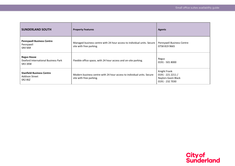| <b>SUNDERLAND SOUTH</b>                                                          | <b>Property Features</b>                                                                           | <b>Agents</b>                                                               |
|----------------------------------------------------------------------------------|----------------------------------------------------------------------------------------------------|-----------------------------------------------------------------------------|
| <b>Pennywell Business Centre</b><br>Pennywell<br>SR4 9AR                         | Managed business centre with 24 hour access to individual units. Secure<br>site with free parking. | Pennywell Business Centre<br>0758 819 9665                                  |
| <b>Regus House</b><br>Doxford International Business Park<br>SR3 3XW             | Flexible office space, with 24 hour access and on-site parking.                                    | Regus<br>0191 - 501 8000                                                    |
| <b>Stanfield Business Centre</b><br><b>Addison Street</b><br>SR <sub>2</sub> 8SZ | Modern business centre with 24 hour access to individual units. Secure<br>site with free parking.  | Knight Frank<br>$0191 - 2212211/$<br>Naylors Gavin Black<br>0191 - 232 7030 |

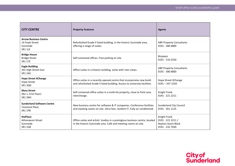| <b>CITY CENTRE</b>                                                             | <b>Property Features</b>                                                                                                                              | <b>Agents</b>                                                               |
|--------------------------------------------------------------------------------|-------------------------------------------------------------------------------------------------------------------------------------------------------|-----------------------------------------------------------------------------|
| <b>Arrow Business Centre</b><br>14 Foyle Street<br>Sunniside<br><b>SR1 1LE</b> | Refurbished Grade II listed building, in the historic Sunniside area,<br>offering a range of suites.                                                  | <b>ABP Property Consultants</b><br>0191 - 580 6800                          |
| <b>Bridge House</b><br><b>Bridge Street</b><br><b>SR1 1TE</b>                  | Self-contained offices. Free parking on site.                                                                                                         | <b>Bizspace</b><br>0191 - 510 2550                                          |
| <b>Eagle Building</b><br>201 High Street East<br><b>SR1 2AX</b>                | Office suites in a historic building, some with river views.                                                                                          | <b>ABP Property Consultants</b><br>0191 - 580 6800                          |
| <b>Hope Street XChange</b><br><b>Hope Street</b><br>SR13QD                     | Office suites in a recently opened centre that incorporates new build<br>and refurbished Grade II listed building. Access to university facilities.   | Hope Street XChange<br>$0191 - 3371550$                                     |
| <b>Mary Street</b><br>(No 1, First Floor)<br>SR13NH                            | Self-contained office suites in a multi-let property, close to Park Lane<br>interchange.                                                              | Knight Frank<br>0191 - 221 2211                                             |
| <b>Sunderland Software Centre</b><br><b>Tavistock Place</b><br><b>SR1 1PB</b>  | New business centre for software & IT companies. Conference facilities<br>and meeting rooms on site. Ultra-fast, resilient IT. Fully air conditioned. | <b>Sunderland City Council</b><br>0191 - 561 1125                           |
| thePlace<br><b>Athenaeum Street</b><br>Sunniside<br><b>SR1 1QX</b>             | Office suites and artists' studios in a prestigious business centre, located<br>in the historic Sunniside area. Café and meeting rooms on site.       | Knight Frank<br>$0191 - 2212211/$<br>Naylors Gavin Black<br>0191 - 232 7030 |

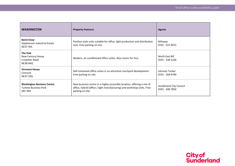| <b>WASHINGTON</b>                                                            | <b>Property Features</b>                                                                                                                                             | <b>Agents</b>                                     |
|------------------------------------------------------------------------------|----------------------------------------------------------------------------------------------------------------------------------------------------------------------|---------------------------------------------------|
| <b>Baird Close</b><br>Stephenson Industrial Estate<br><b>NE37 3HL</b>        | Pavilion style units suitable for office, light production and distribution<br>uses. Free parking on site.                                                           | Mileway<br>0191 - 415 9415                        |
| The Hub<br>New Century House<br><b>Crowther Road</b><br><b>NE38 0AQ</b>      | Modern, air-conditioned office suites. Also rooms for hire.                                                                                                          | North East BIC<br>0191 - 338 5166                 |
| <b>Vermont House</b><br>Concord<br><b>NE37 2SQ</b>                           | Self-contained office suites in an attractive courtyard development.<br>Free parking on site.                                                                        | Johnson Tucker<br>0191 - 269 8790                 |
| <b>Washington Business Centre</b><br><b>Turbine Business Park</b><br>SR5 3NZ | New business centre in a highly accessible location, offering a mix of<br>office, hybrid (office / light manufacturing) and workshop units. Free<br>parking on site. | <b>Sunderland City Council</b><br>0191 - 500 7850 |